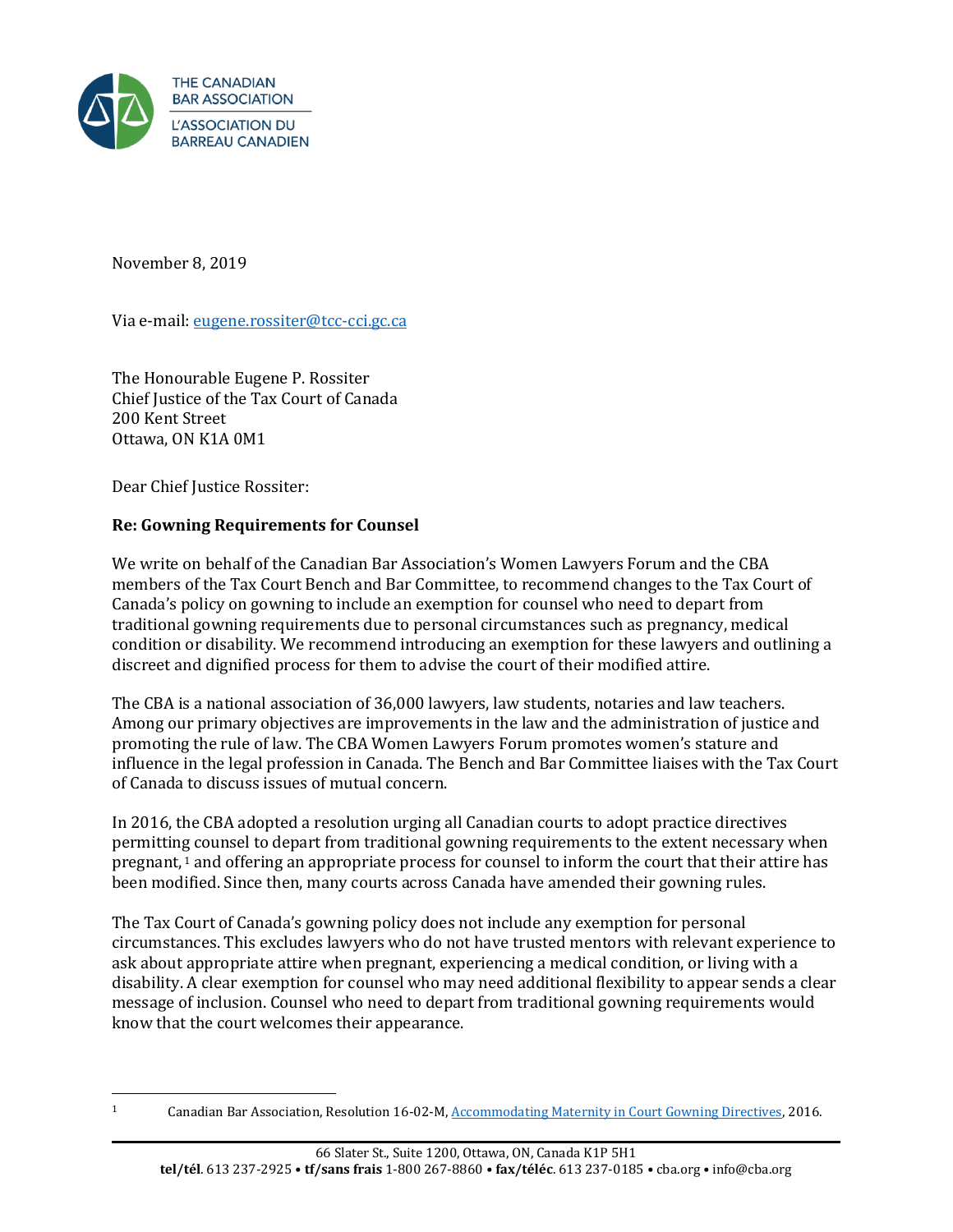

November 8, 2019

Via e-mail: eugene.rossiter@tcc-cci.gc.ca

The Honourable Eugene P. Rossiter Chief Justice of the Tax Court of Canada 200 Kent Street Ottawa, ON K1A 0M1

Dear Chief Justice Rossiter:

## **Re: Gowning Requirements for Counsel**

We write on behalf of the Canadian Bar Association's Women Lawyers Forum and the CBA members of the Tax Court Bench and Bar Committee, to recommend changes to the Tax Court of Canada's policy on gowning to include an exemption for counsel who need to depart from traditional gowning requirements due to personal circumstances such as pregnancy, medical condition or disability. We recommend introducing an exemption for these lawyers and outlining a discreet and dignified process for them to advise the court of their modified attire.

The CBA is a national association of 36,000 lawyers, law students, notaries and law teachers. Among our primary objectives are improvements in the law and the administration of justice and promoting the rule of law. The CBA Women Lawyers Forum promotes women's stature and influence in the legal profession in Canada. The Bench and Bar Committee liaises with the Tax Court of Canada to discuss issues of mutual concern.

In 2016, the CBA adopted a resolution urging all Canadian courts to adopt practice directives permitting counsel to depart from traditional gowning requirements to the extent necessary when pregnant, <sup>1</sup> and offering an appropriate process for counsel to inform the court that their attire has been modified. Since then, many courts across Canada have amended their gowning rules.

The Tax Court of Canada's gowning policy does not include any exemption for personal circumstances. This excludes lawyers who do not have trusted mentors with relevant experience to ask about appropriate attire when pregnant, experiencing a medical condition, or living with a disability. A clear exemption for counsel who may need additional flexibility to appear sends a clear message of inclusion. Counsel who need to depart from traditional gowning requirements would know that the court welcomes their appearance.

<sup>1</sup> Canadian Bar Association, Resolution 16-02-M[, Accommodating Maternity in Court Gowning Directives,](https://www.cba.org/getattachment/Our-Work/Resolutions/Resolutions/2016/Accommodating-Maternity-in-Court-Gowning-Directive/Accommodating-Maternity-in-Court-Gowning-Directives.pdf) 2016.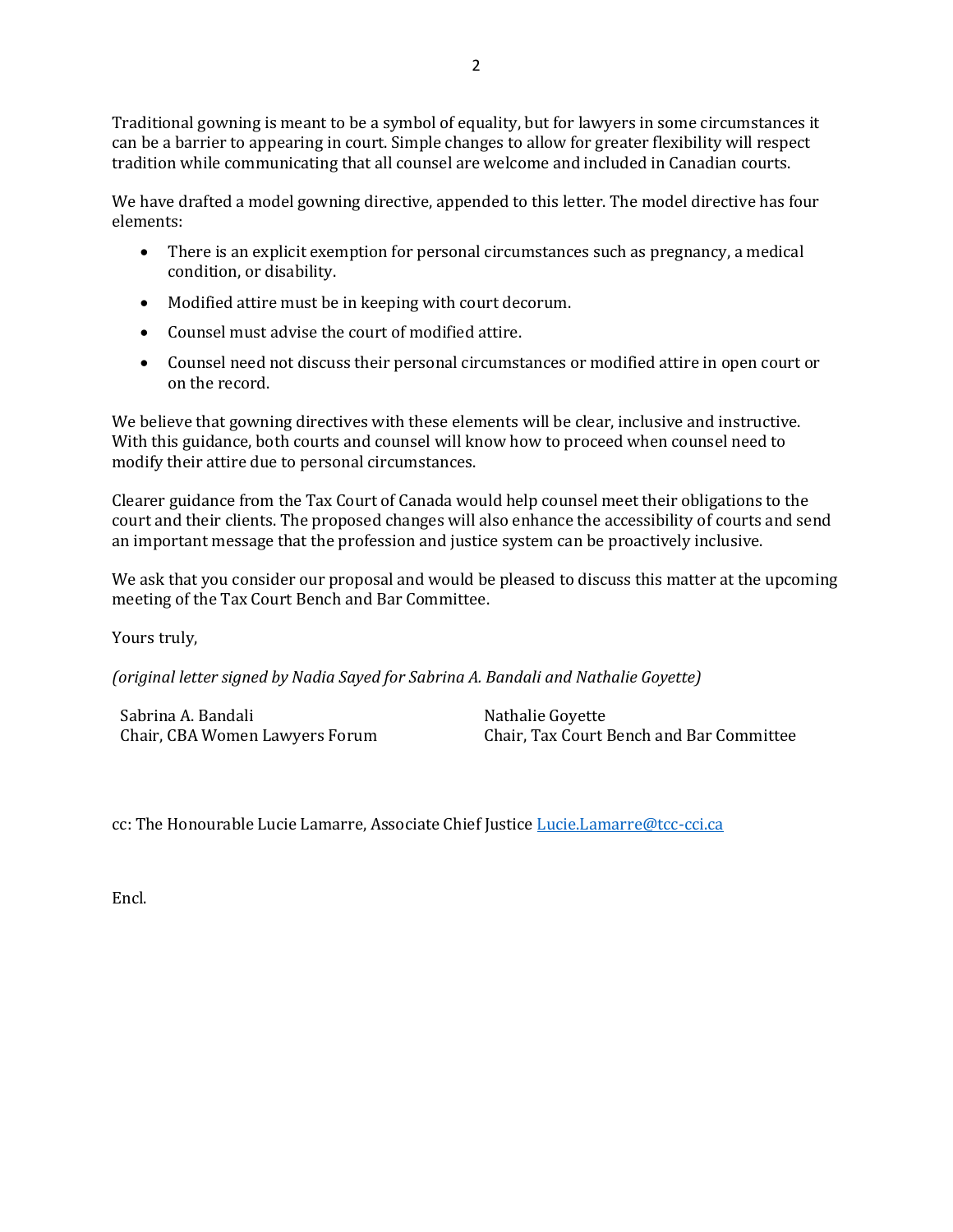Traditional gowning is meant to be a symbol of equality, but for lawyers in some circumstances it can be a barrier to appearing in court. Simple changes to allow for greater flexibility will respect tradition while communicating that all counsel are welcome and included in Canadian courts.

We have drafted a model gowning directive, appended to this letter. The model directive has four elements:

- There is an explicit exemption for personal circumstances such as pregnancy, a medical condition, or disability.
- Modified attire must be in keeping with court decorum.
- Counsel must advise the court of modified attire.
- Counsel need not discuss their personal circumstances or modified attire in open court or on the record.

We believe that gowning directives with these elements will be clear, inclusive and instructive. With this guidance, both courts and counsel will know how to proceed when counsel need to modify their attire due to personal circumstances.

Clearer guidance from the Tax Court of Canada would help counsel meet their obligations to the court and their clients. The proposed changes will also enhance the accessibility of courts and send an important message that the profession and justice system can be proactively inclusive.

We ask that you consider our proposal and would be pleased to discuss this matter at the upcoming meeting of the Tax Court Bench and Bar Committee.

Yours truly,

*(original letter signed by Nadia Sayed for Sabrina A. Bandali and Nathalie Goyette)*

Sabrina A. Bandali Chair, CBA Women Lawyers Forum

Nathalie Goyette Chair, Tax Court Bench and Bar Committee

cc: The Honourable Lucie Lamarre, Associate Chief Justice [Lucie.Lamarre@tcc-cci.ca](mailto:Lucie.Lamarre@tcc-cci.ca)

Encl.